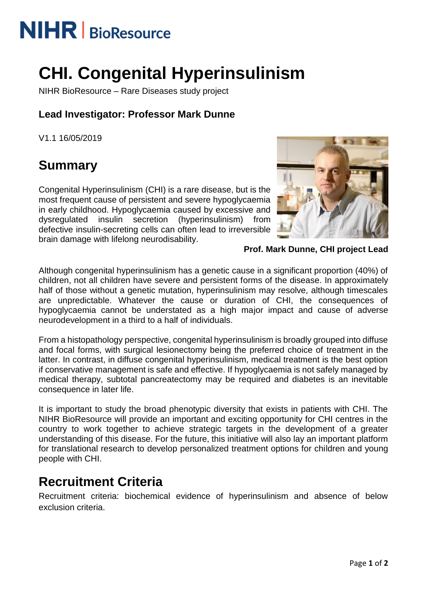# **NIHR** | BioResource

## **CHI. Congenital Hyperinsulinism**

NIHR BioResource – Rare Diseases study project

### **Lead Investigator: Professor Mark Dunne**

V1.1 16/05/2019

## **Summary**

Congenital Hyperinsulinism (CHI) is a rare disease, but is the most frequent cause of persistent and severe hypoglycaemia in early childhood. Hypoglycaemia caused by excessive and dysregulated insulin secretion (hyperinsulinism) from defective insulin-secreting cells can often lead to irreversible brain damage with lifelong neurodisability.



**Prof. Mark Dunne, CHI project Lead**

Although congenital hyperinsulinism has a genetic cause in a significant proportion (40%) of children, not all children have severe and persistent forms of the disease. In approximately half of those without a genetic mutation, hyperinsulinism may resolve, although timescales are unpredictable. Whatever the cause or duration of CHI, the consequences of hypoglycaemia cannot be understated as a high major impact and cause of adverse neurodevelopment in a third to a half of individuals.

From a histopathology perspective, congenital hyperinsulinism is broadly grouped into diffuse and focal forms, with surgical lesionectomy being the preferred choice of treatment in the latter. In contrast, in diffuse congenital hyperinsulinism, medical treatment is the best option if conservative management is safe and effective. If hypoglycaemia is not safely managed by medical therapy, subtotal pancreatectomy may be required and diabetes is an inevitable consequence in later life.

It is important to study the broad phenotypic diversity that exists in patients with CHI. The NIHR BioResource will provide an important and exciting opportunity for CHI centres in the country to work together to achieve strategic targets in the development of a greater understanding of this disease. For the future, this initiative will also lay an important platform for translational research to develop personalized treatment options for children and young people with CHI.

### **Recruitment Criteria**

Recruitment criteria: biochemical evidence of hyperinsulinism and absence of below exclusion criteria.